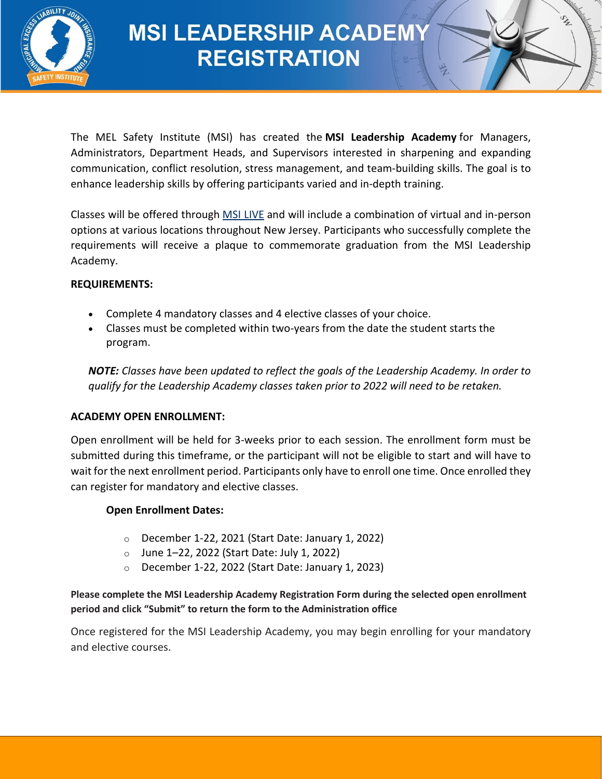

# **MSI LEADERSHIP ACADEMY REGISTRATION**

The MEL Safety Institute (MSI) has created the **MSI Leadership Academy** for Managers, Administrators, Department Heads, and Supervisors interested in sharpening and expanding communication, conflict resolution, stress management, and team-building skills. The goal is to enhance leadership skills by offering participants varied and in-depth training.

Classes will be offered through [MSI LIVE](https://melsafetyinstitute.org/msi-live-schedule/) and will include a combination of virtual and in-person options at various locations throughout New Jersey. Participants who successfully complete the requirements will receive a plaque to commemorate graduation from the MSI Leadership Academy.

#### **REQUIREMENTS:**

- Complete 4 mandatory classes and 4 elective classes of your choice.
- Classes must be completed within two-years from the date the student starts the program.

*NOTE: Classes have been updated to reflect the goals of the Leadership Academy. In order to qualify for the Leadership Academy classes taken prior to 2022 will need to be retaken.*

#### **ACADEMY OPEN ENROLLMENT:**

Open enrollment will be held for 3-weeks prior to each session. The enrollment form must be submitted during this timeframe, or the participant will not be eligible to start and will have to wait for the next enrollment period. Participants only have to enroll one time. Once enrolled they can register for mandatory and elective classes.

#### **Open Enrollment Dates:**

- o December 1-22, 2021 (Start Date: January 1, 2022)
- $\circ$  June 1–22, 2022 (Start Date: July 1, 2022)
- o December 1-22, 2022 (Start Date: January 1, 2023)

#### **Please complete the MSI Leadership Academy Registration Form during the selected open enrollment period and click "Submit" to return the form to the Administration office**

Once registered for the MSI Leadership Academy, you may begin enrolling for your mandatory and elective courses.